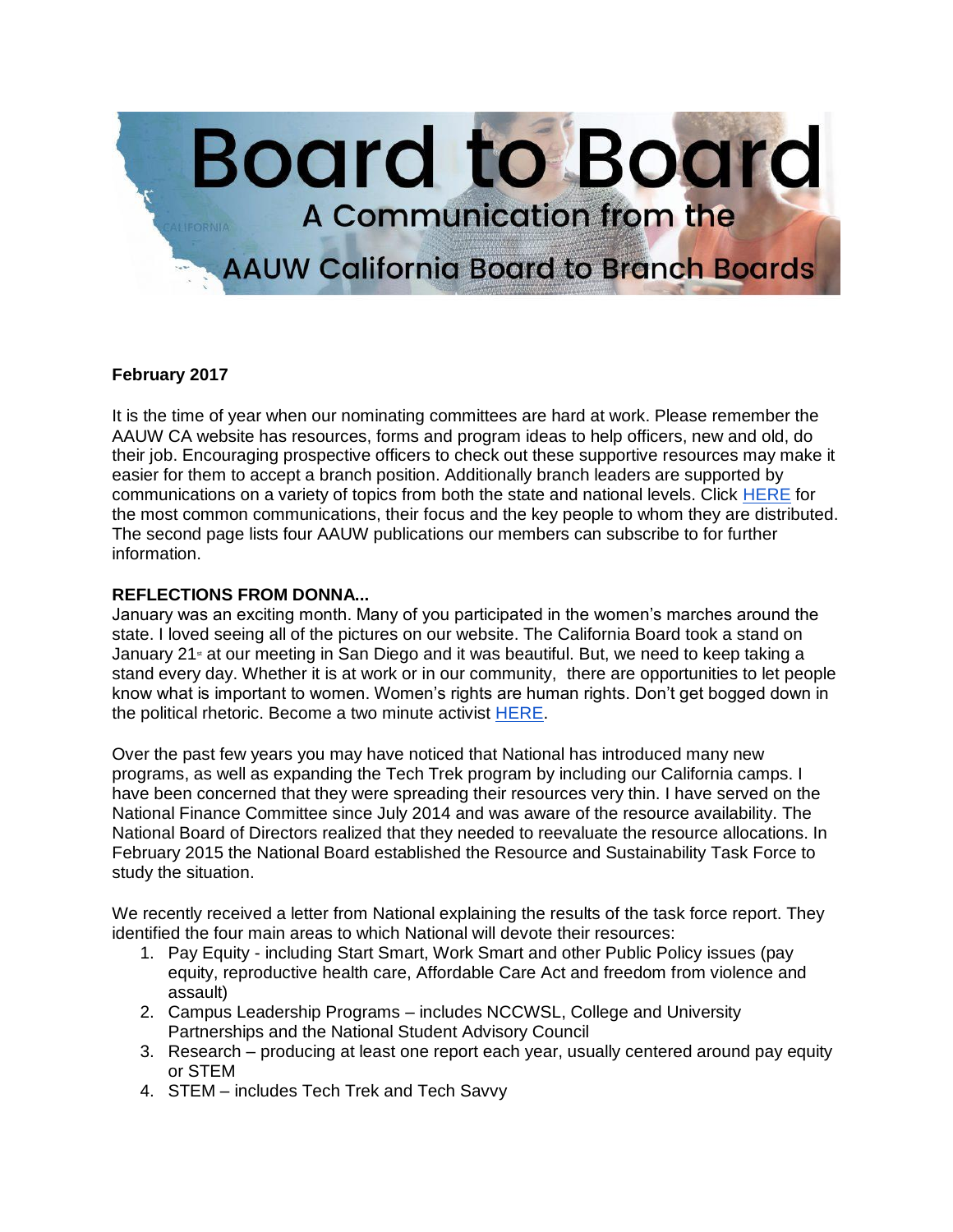

## **February 2017**

It is the time of year when our nominating committees are hard at work. Please remember the AAUW CA website has resources, forms and program ideas to help officers, new and old, do their job. Encouraging prospective officers to check out these supportive resources may make it easier for them to accept a branch position. Additionally branch leaders are supported by communications on a variety of topics from both the state and national levels. Click [HERE](http://aauw-ca.org/wp-content/uploads/2016/10/AAUW-Communications_Reference-Guide_Aug-2016-8-14-16-1.pdf) for the most common communications, their focus and the key people to whom they are distributed. The second page lists four AAUW publications our members can subscribe to for further information.

## **REFLECTIONS FROM DONNA...**

January was an exciting month. Many of you participated in the women's marches around the state. I loved seeing all of the pictures on our website. The California Board took a stand on January 21 $\ast$  at our meeting in San Diego and it was beautiful. But, we need to keep taking a stand every day. Whether it is at work or in our community, there are opportunities to let people know what is important to women. Women's rights are human rights. Don't get bogged down in the political rhetoric. Become a two minute activist [HERE.](http://www.aauw.org/what-we-do/public-policy/two-minute-activist/)

Over the past few years you may have noticed that National has introduced many new programs, as well as expanding the Tech Trek program by including our California camps. I have been concerned that they were spreading their resources very thin. I have served on the National Finance Committee since July 2014 and was aware of the resource availability. The National Board of Directors realized that they needed to reevaluate the resource allocations. In February 2015 the National Board established the Resource and Sustainability Task Force to study the situation.

We recently received a letter from National explaining the results of the task force report. They identified the four main areas to which National will devote their resources:

- 1. Pay Equity including Start Smart, Work Smart and other Public Policy issues (pay equity, reproductive health care, Affordable Care Act and freedom from violence and assault)
- 2. Campus Leadership Programs includes NCCWSL, College and University Partnerships and the National Student Advisory Council
- 3. Research producing at least one report each year, usually centered around pay equity or STEM
- 4. STEM includes Tech Trek and Tech Savvy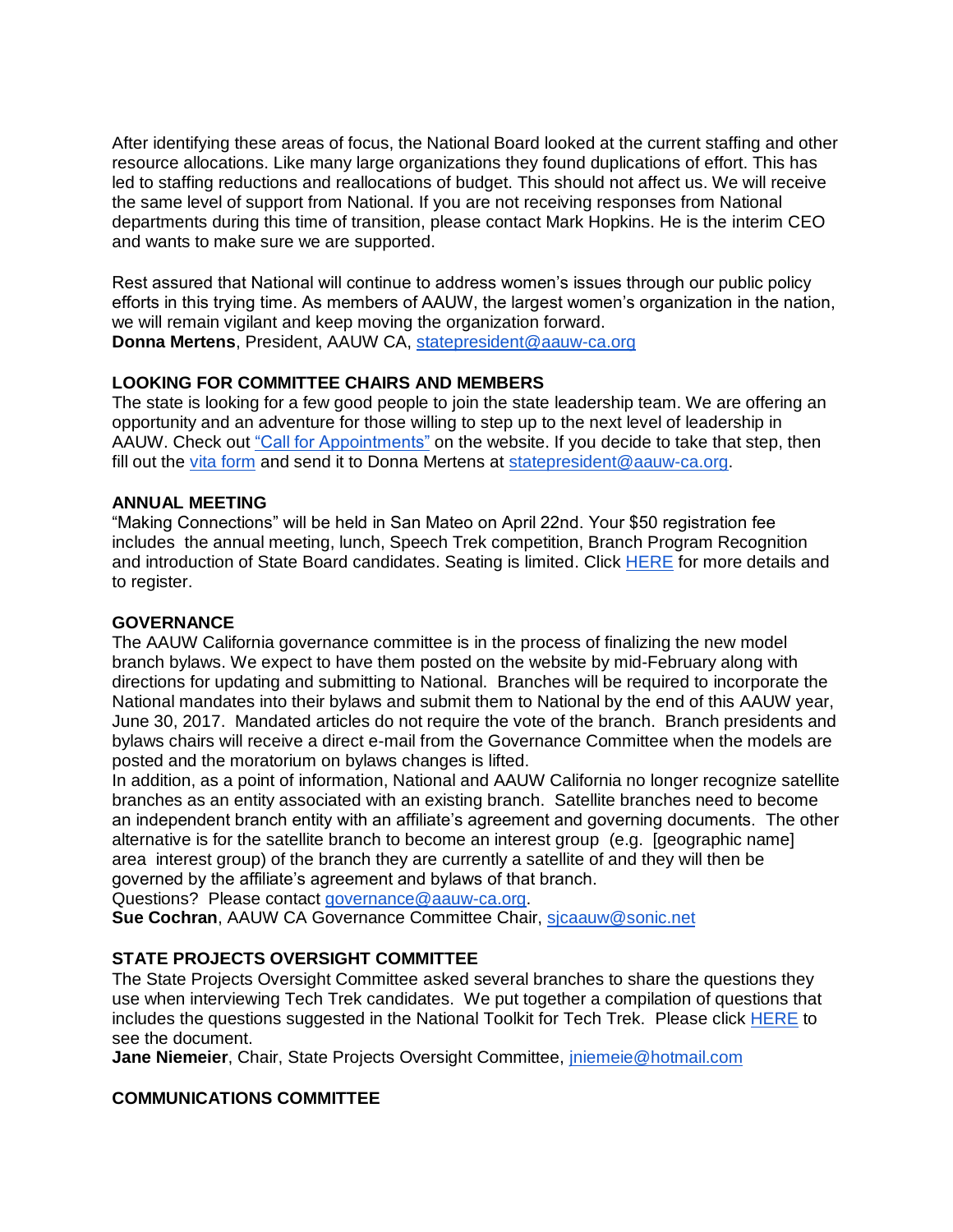After identifying these areas of focus, the National Board looked at the current staffing and other resource allocations. Like many large organizations they found duplications of effort. This has led to staffing reductions and reallocations of budget. This should not affect us. We will receive the same level of support from National. If you are not receiving responses from National departments during this time of transition, please contact Mark Hopkins. He is the interim CEO and wants to make sure we are supported.

Rest assured that National will continue to address women's issues through our public policy efforts in this trying time. As members of AAUW, the largest women's organization in the nation, we will remain vigilant and keep moving the organization forward. **Donna Mertens**, President, AAUW CA, [statepresident@aauw-ca.org](mailto:statepresident@aauw-ca.org)

## **LOOKING FOR COMMITTEE CHAIRS AND MEMBERS**

The state is looking for a few good people to join the state leadership team. We are offering an opportunity and an adventure for those willing to step up to the next level of leadership in AAUW. Check out ["Call for Appointments"](http://www.aauw-ca.org/documents/2017/02/call-state-appointment.pdf) on the website. If you decide to take that step, then fill out the [vita form](http://www.aauw-ca.org/documents/2017/02/vitae-form.doc) and send it to Donna Mertens at [statepresident@aauw-ca.org.](mailto:statepresident@aauw-ca.org)

### **ANNUAL MEETING**

"Making Connections" will be held in San Mateo on April 22nd. Your \$50 registration fee includes the annual meeting, lunch, Speech Trek competition, Branch Program Recognition and introduction of State Board candidates. Seating is limited. Click [HERE](http://www.aauw-ca.org/2017-annual-meeting/) for more details and to register.

### **GOVERNANCE**

The AAUW California governance committee is in the process of finalizing the new model branch bylaws. We expect to have them posted on the website by mid-February along with directions for updating and submitting to National. Branches will be required to incorporate the National mandates into their bylaws and submit them to National by the end of this AAUW year, June 30, 2017. Mandated articles do not require the vote of the branch. Branch presidents and bylaws chairs will receive a direct e-mail from the Governance Committee when the models are posted and the moratorium on bylaws changes is lifted.

In addition, as a point of information, National and AAUW California no longer recognize satellite branches as an entity associated with an existing branch. Satellite branches need to become an independent branch entity with an affiliate's agreement and governing documents. The other alternative is for the satellite branch to become an interest group (e.g. [geographic name] area interest group) of the branch they are currently a satellite of and they will then be governed by the affiliate's agreement and bylaws of that branch.

Questions? Please contact [governance@aauw-ca.org.](mailto:governance@aauw-ca.org)

**Sue Cochran**, AAUW CA Governance Committee Chair, sicaauw@sonic.net

## **STATE PROJECTS OVERSIGHT COMMITTEE**

The State Projects Oversight Committee asked several branches to share the questions they use when interviewing Tech Trek candidates. We put together a compilation of questions that includes the questions suggested in the National Toolkit for Tech Trek. Please click [HERE](http://www.aauw-ca.org/interview-questions-national-tech-trek-applicants/) to see the document.

**Jane Niemeier**, Chair, State Projects Oversight Committee, [jniemeie@hotmail.com](mailto:jniemeie@hotmail.com)

## **COMMUNICATIONS COMMITTEE**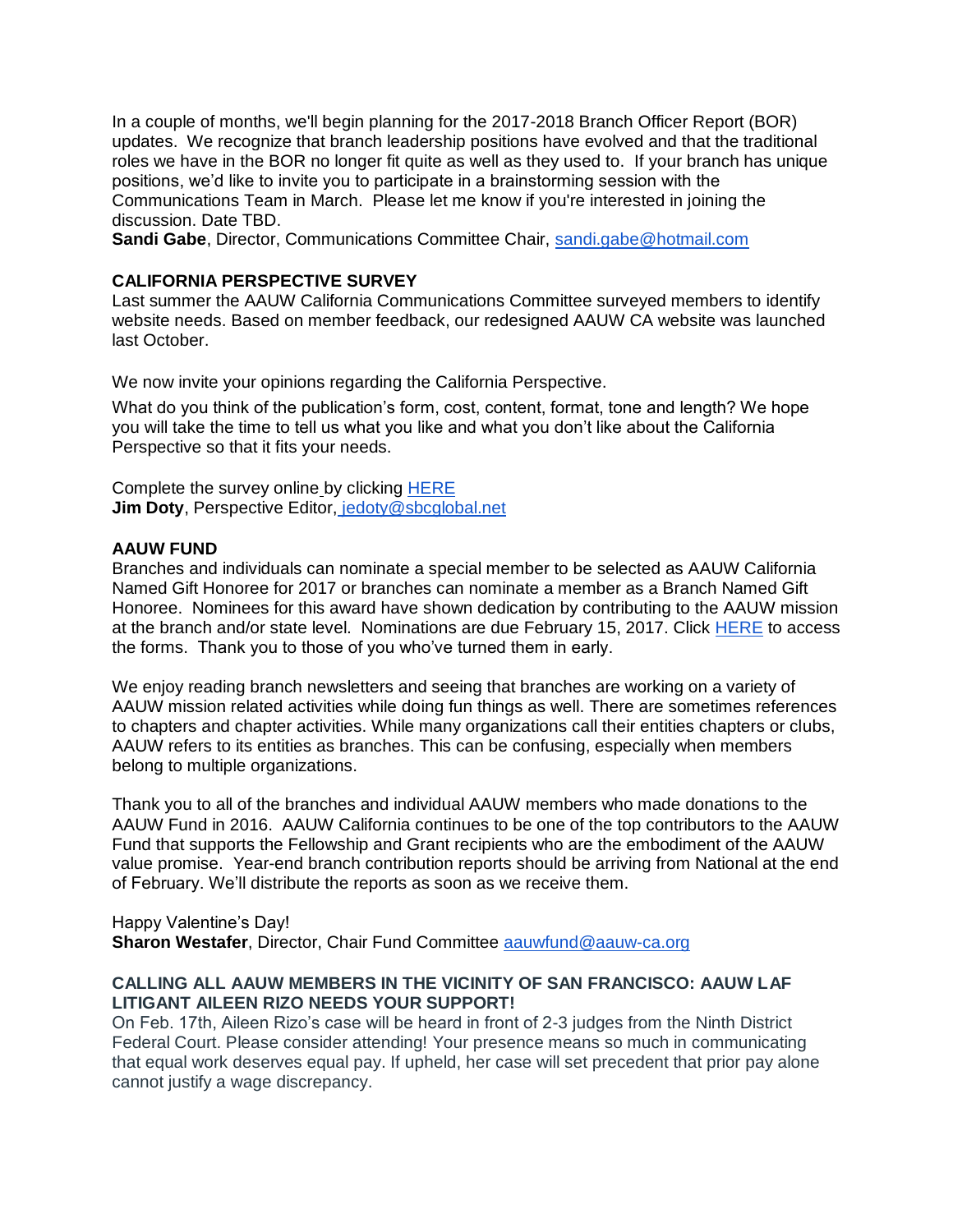In a couple of months, we'll begin planning for the 2017-2018 Branch Officer Report (BOR) updates. We recognize that branch leadership positions have evolved and that the traditional roles we have in the BOR no longer fit quite as well as they used to. If your branch has unique positions, we'd like to invite you to participate in a brainstorming session with the Communications Team in March. Please let me know if you're interested in joining the discussion. Date TBD.

**Sandi Gabe**, Director, Communications Committee Chair, [sandi.gabe@hotmail.com](mailto:sandi.gabe@hotmail.com)

### **CALIFORNIA PERSPECTIVE SURVEY**

Last summer the AAUW California Communications Committee surveyed members to identify website needs. Based on member feedback, our redesigned AAUW CA website was launched last October.

We now invite your opinions regarding the California Perspective.

What do you think of the publication's form, cost, content, format, tone and length? We hope you will take the time to tell us what you like and what you don't like about the California Perspective so that it fits your needs.

Complete the survey online [b](http://www.aauw-ca.org/your-perspective/)y clicking [HERE](https://www.surveymonkey.com/r/2NWR3HX) **Jim Doty**, Perspective Editor, [jedoty@sbcglobal.net](mailto:jedoty@sbcglobal.net)

### **AAUW FUND**

Branches and individuals can nominate a special member to be selected as AAUW California Named Gift Honoree for 2017 or branches can nominate a member as a Branch Named Gift Honoree. Nominees for this award have shown dedication by contributing to the AAUW mission at the branch and/or state level. Nominations are due February 15, 2017. Click [HERE](http://www.aauw-ca.org/named-gift-honorees/) to access the forms. Thank you to those of you who've turned them in early.

We enjoy reading branch newsletters and seeing that branches are working on a variety of AAUW mission related activities while doing fun things as well. There are sometimes references to chapters and chapter activities. While many organizations call their entities chapters or clubs, AAUW refers to its entities as branches. This can be confusing, especially when members belong to multiple organizations.

Thank you to all of the branches and individual AAUW members who made donations to the AAUW Fund in 2016. AAUW California continues to be one of the top contributors to the AAUW Fund that supports the Fellowship and Grant recipients who are the embodiment of the AAUW value promise. Year-end branch contribution reports should be arriving from National at the end of February. We'll distribute the reports as soon as we receive them.

Happy Valentine's Day! **Sharon Westafer**, Director, Chair Fund Committee [aauwfund@aauw-ca.org](mailto:aauwfund@aauw-ca.org)

### **CALLING ALL AAUW MEMBERS IN THE VICINITY OF SAN FRANCISCO: AAUW LAF LITIGANT AILEEN RIZO NEEDS YOUR SUPPORT!**

On Feb. 17th, Aileen Rizo's case will be heard in front of 2-3 judges from the Ninth District Federal Court. Please consider attending! Your presence means so much in communicating that equal work deserves equal pay. If upheld, her case will set precedent that prior pay alone cannot justify a wage discrepancy.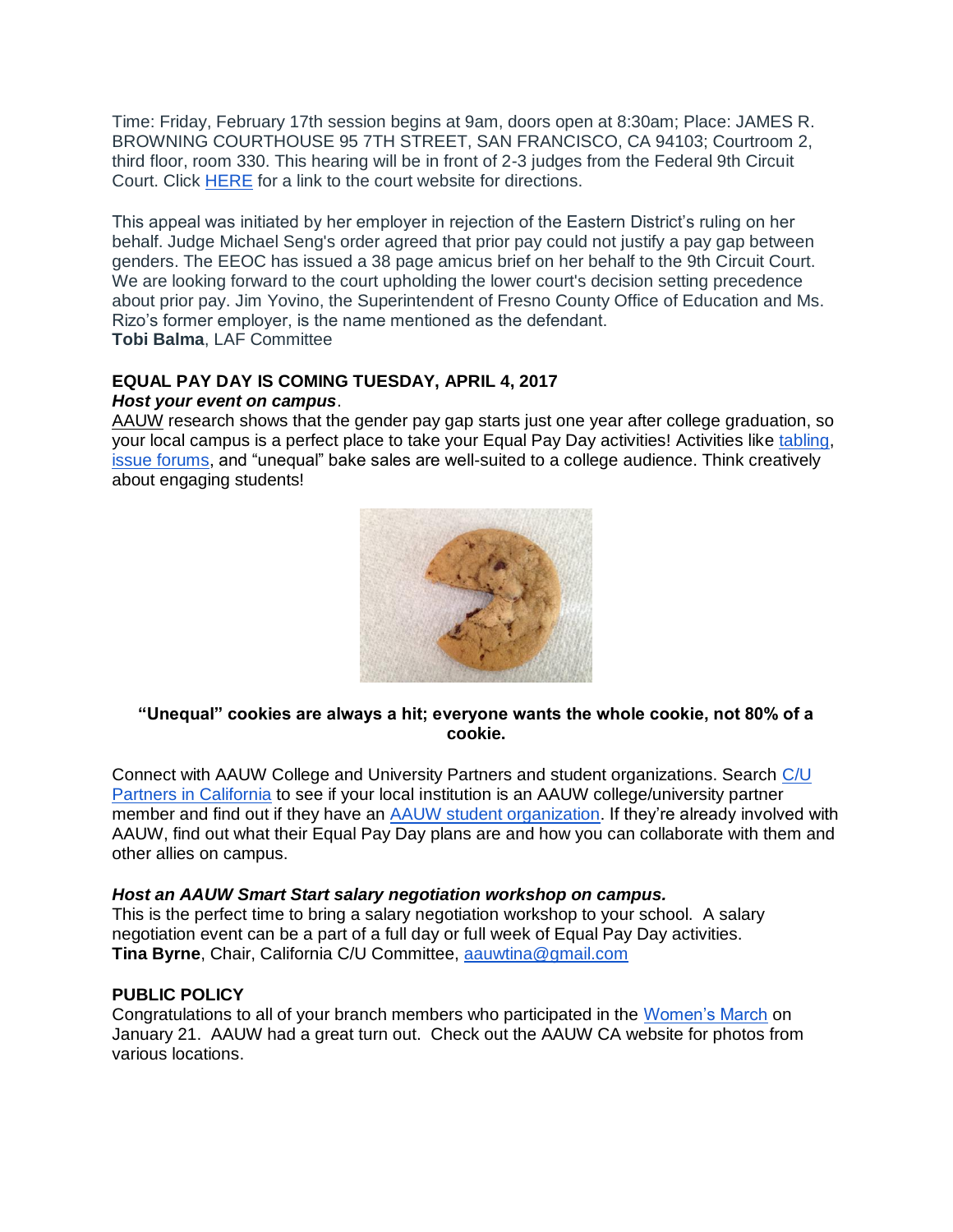Time: Friday, February 17th session begins at 9am, doors open at 8:30am; Place: JAMES R. BROWNING COURTHOUSE 95 7TH STREET, SAN FRANCISCO, CA 94103; Courtroom 2, third floor, room 330. This hearing will be in front of 2-3 judges from the Federal 9th Circuit Court. Click [HERE](http://www.ca9.uscourts.gov/information/locations.php) for a link to the court website for directions.

This appeal was initiated by her employer in rejection of the Eastern District's ruling on her behalf. Judge Michael Seng's order agreed that prior pay could not justify a pay gap between genders. The EEOC has issued a 38 page amicus brief on her behalf to the 9th Circuit Court. We are looking forward to the court upholding the lower court's decision setting precedence about prior pay. Jim Yovino, the Superintendent of Fresno County Office of Education and Ms. Rizo's former employer, is the name mentioned as the defendant. **Tobi Balma**, LAF Committee

### **EQUAL PAY DAY IS COMING TUESDAY, APRIL 4, 2017** *Host your event on campus*.

[AAUW](http://www.aauw.org/research/graduating-to-a-pay-gap/) research shows that the gender pay gap starts just one year after college graduation, so your local campus is a perfect place to take your Equal Pay Day activities! Activities like [tabling](http://www.aauw.org/resource/how-to-tabling/)[,](http://www.aauw.org/resource/how-to-put-together-an-issue-forum-town-hall-or-tele-town-hall/) [issue forums,](http://www.aauw.org/resource/how-to-put-together-an-issue-forum-town-hall-or-tele-town-hall/) and "unequal" bake sales are well-suited to a college audience. Think creatively about engaging students!



## **"Unequal" cookies are always a hit; everyone wants the whole cookie, not 80% of a cookie.**

Connect with AAUW College and University Partners and student organizations. Search [C/U](http://www.aauw-ca.org/college-university-partners/)  [Partners in California](http://www.aauw-ca.org/college-university-partners/) to see if your local institution is an AAUW college/university partner member and find out if they have an [AAUW student organization.](http://www.aauw.org/what-we-do/campus-programs/student-org/) If they're already involved with AAUW, find out what their Equal Pay Day plans are and how you can collaborate with them and other allies on campus.

## *Host an AAUW Smart Start salary negotiation workshop on campus.*

This is the perfect time to bring a salary negotiation workshop to your school. A salary negotiation event can be a part of a full day or full week of Equal Pay Day activities. **Tina Byrne**, Chair, California C/U Committee, [aauwtina@gmail.com](mailto:aauwtina@gmail.com)

## **PUBLIC POLICY**

Congratulations to all of your branch members who participated in the [Women's March](http://www.aauw-ca.org/womens-march/) on January 21. AAUW had a great turn out. Check out the AAUW CA website for photos from various locations.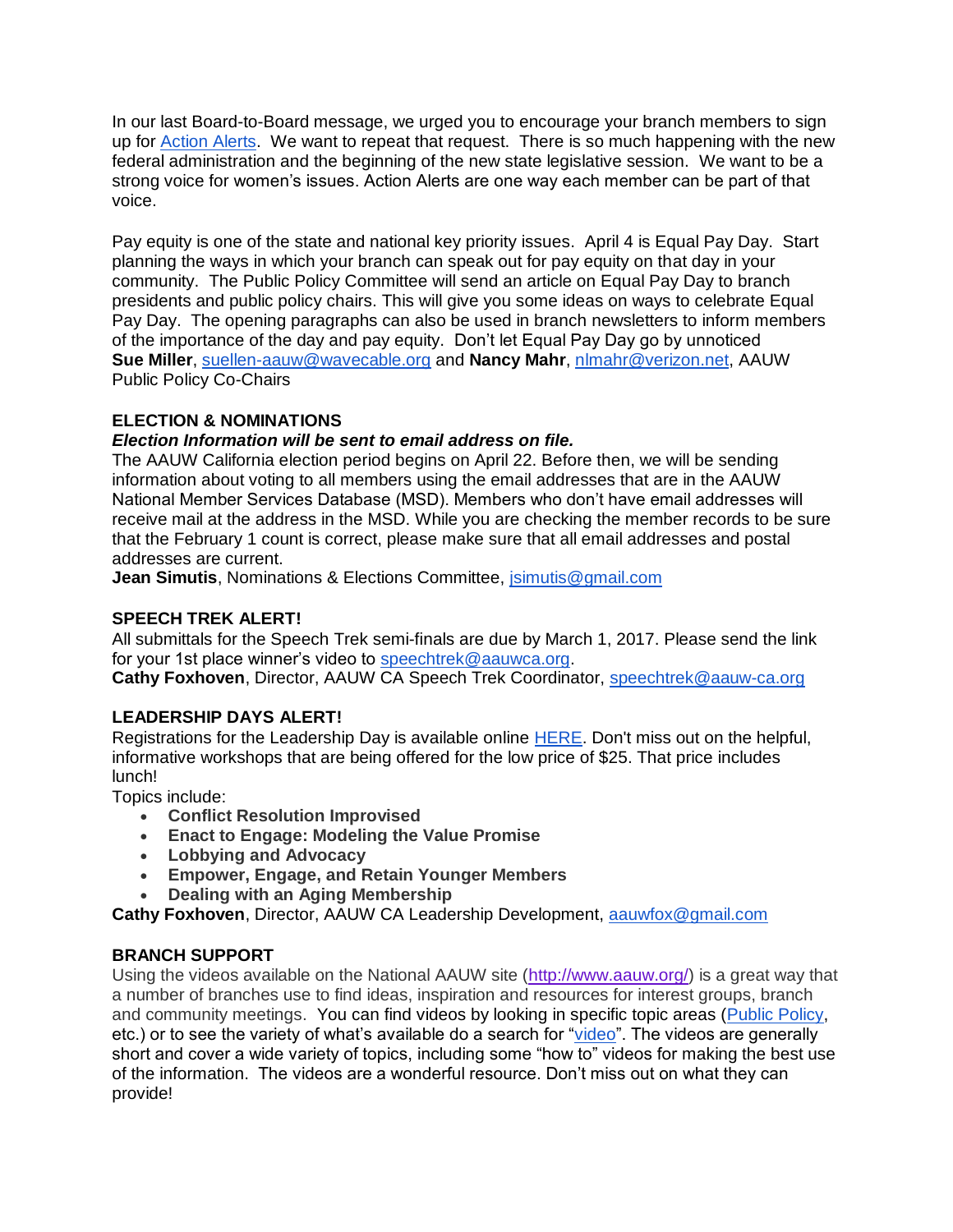In our last Board-to-Board message, we urged you to encourage your branch members to sign up for [Action Alerts.](http://www.aauw-ca.org/?s=action+alerts) We want to repeat that request. There is so much happening with the new federal administration and the beginning of the new state legislative session. We want to be a strong voice for women's issues. Action Alerts are one way each member can be part of that voice.

Pay equity is one of the state and national key priority issues. April 4 is Equal Pay Day. Start planning the ways in which your branch can speak out for pay equity on that day in your community. The Public Policy Committee will send an article on Equal Pay Day to branch presidents and public policy chairs. This will give you some ideas on ways to celebrate Equal Pay Day. The opening paragraphs can also be used in branch newsletters to inform members of the importance of the day and pay equity. Don't let Equal Pay Day go by unnoticed **Sue Miller**, [suellen-aauw@wavecable.org](mailto:suellen-aauw@wavecable.org) and **Nancy Mahr**, [nlmahr@verizon.net,](mailto:nlmahr@verizon.net) AAUW Public Policy Co-Chairs

# **ELECTION & NOMINATIONS**

# *Election Information will be sent to email address on file.*

The AAUW California election period begins on April 22. Before then, we will be sending information about voting to all members using the email addresses that are in the AAUW National Member Services Database (MSD). Members who don't have email addresses will receive mail at the address in the MSD. While you are checking the member records to be sure that the February 1 count is correct, please make sure that all email addresses and postal addresses are current.

**Jean Simutis**, Nominations & Elections Committee, [jsimutis@gmail.com](mailto:jsimutis@gmail.com)

## **SPEECH TREK ALERT!**

All submittals for the Speech Trek semi-finals are due by March 1, 2017. Please send the link for your 1st place winner's video to [speechtrek@aauwca.org.](mailto:speechtrek@aauwca.org)

**Cathy Foxhoven**, Director, AAUW CA Speech Trek Coordinator, [speechtrek@aauw-ca.org](mailto:speechtrek@aauw-ca.org)

# **LEADERSHIP DAYS ALERT!**

Registrations for the Leadership Day is available online [HERE.](http://www.aauw-ca.org/aauw-california-leadership-days-2017/) Don't miss out on the helpful, informative workshops that are being offered for the low price of \$25. That price includes lunch!

Topics include:

- **Conflict Resolution Improvised**
- **Enact to Engage: Modeling the Value Promise**
- **Lobbying and Advocacy**
- **Empower, Engage, and Retain Younger Members**
- **Dealing with an Aging Membership**

**Cathy Foxhoven**, Director, AAUW CA Leadership Development, [aauwfox@gmail.com](mailto:aauwfox@gmail.com)

# **BRANCH SUPPORT**

Using the videos available on the National AAUW site [\(http://www.aauw.org/\)](http://www.aauw.org/) is a great way that a number of branches use to find ideas, inspiration and resources for interest groups, branch and community meetings. You can find videos by looking in specific topic areas [\(Public Policy,](http://www.aauw.org/?s=public+policy+videos) etc.) or to see the variety of what's available do a search for ["video"](http://www.aauw.org/?s=videos). The videos are generally short and cover a wide variety of topics, including some "how to" videos for making the best use of the information. The videos are a wonderful resource. Don't miss out on what they can provide!